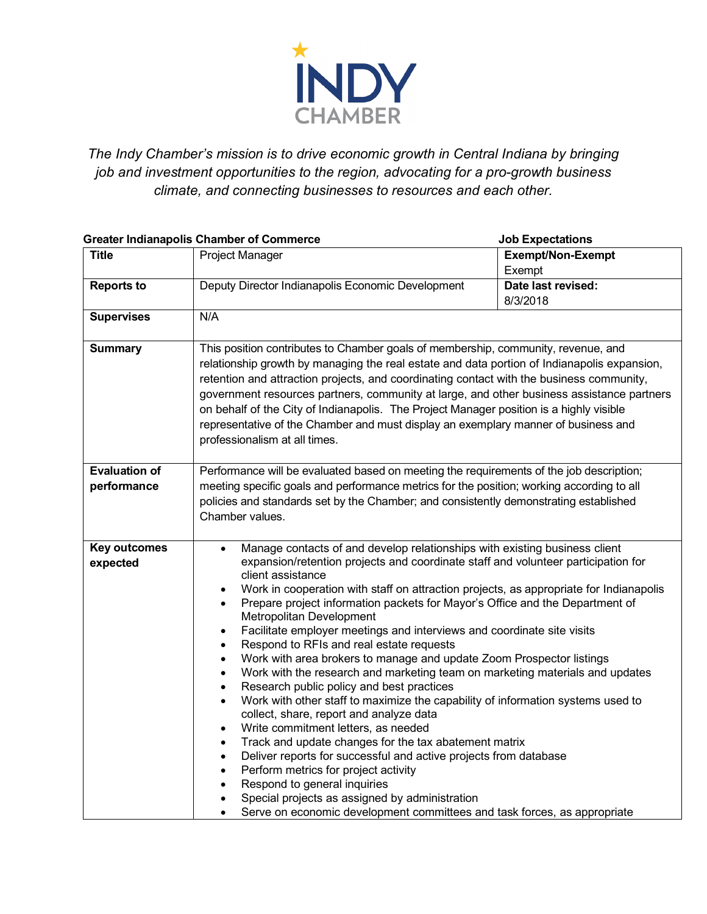

*The Indy Chamber's mission is to drive economic growth in Central Indiana by bringing job and investment opportunities to the region, advocating for a pro-growth business climate, and connecting businesses to resources and each other.*

| <b>Greater Indianapolis Chamber of Commerce</b><br><b>Job Expectations</b> |                                                                                                                                                                                                                                                                                                                                                                                                                                                                                                                                                                                                                                                                                                                                                                                                                                                                                                                                                                                                                                                                                                                                                                                                                                                                                                                                                                                           |                                    |
|----------------------------------------------------------------------------|-------------------------------------------------------------------------------------------------------------------------------------------------------------------------------------------------------------------------------------------------------------------------------------------------------------------------------------------------------------------------------------------------------------------------------------------------------------------------------------------------------------------------------------------------------------------------------------------------------------------------------------------------------------------------------------------------------------------------------------------------------------------------------------------------------------------------------------------------------------------------------------------------------------------------------------------------------------------------------------------------------------------------------------------------------------------------------------------------------------------------------------------------------------------------------------------------------------------------------------------------------------------------------------------------------------------------------------------------------------------------------------------|------------------------------------|
| <b>Title</b>                                                               | Project Manager                                                                                                                                                                                                                                                                                                                                                                                                                                                                                                                                                                                                                                                                                                                                                                                                                                                                                                                                                                                                                                                                                                                                                                                                                                                                                                                                                                           | <b>Exempt/Non-Exempt</b><br>Exempt |
| <b>Reports to</b>                                                          | Deputy Director Indianapolis Economic Development                                                                                                                                                                                                                                                                                                                                                                                                                                                                                                                                                                                                                                                                                                                                                                                                                                                                                                                                                                                                                                                                                                                                                                                                                                                                                                                                         | Date last revised:<br>8/3/2018     |
| <b>Supervises</b>                                                          | N/A                                                                                                                                                                                                                                                                                                                                                                                                                                                                                                                                                                                                                                                                                                                                                                                                                                                                                                                                                                                                                                                                                                                                                                                                                                                                                                                                                                                       |                                    |
| <b>Summary</b>                                                             | This position contributes to Chamber goals of membership, community, revenue, and<br>relationship growth by managing the real estate and data portion of Indianapolis expansion,<br>retention and attraction projects, and coordinating contact with the business community,<br>government resources partners, community at large, and other business assistance partners<br>on behalf of the City of Indianapolis. The Project Manager position is a highly visible<br>representative of the Chamber and must display an exemplary manner of business and<br>professionalism at all times.                                                                                                                                                                                                                                                                                                                                                                                                                                                                                                                                                                                                                                                                                                                                                                                               |                                    |
| <b>Evaluation of</b><br>performance                                        | Performance will be evaluated based on meeting the requirements of the job description;<br>meeting specific goals and performance metrics for the position; working according to all<br>policies and standards set by the Chamber; and consistently demonstrating established<br>Chamber values.                                                                                                                                                                                                                                                                                                                                                                                                                                                                                                                                                                                                                                                                                                                                                                                                                                                                                                                                                                                                                                                                                          |                                    |
| <b>Key outcomes</b><br>expected                                            | Manage contacts of and develop relationships with existing business client<br>$\bullet$<br>expansion/retention projects and coordinate staff and volunteer participation for<br>client assistance<br>Work in cooperation with staff on attraction projects, as appropriate for Indianapolis<br>$\bullet$<br>Prepare project information packets for Mayor's Office and the Department of<br>$\bullet$<br>Metropolitan Development<br>Facilitate employer meetings and interviews and coordinate site visits<br>$\bullet$<br>Respond to RFIs and real estate requests<br>$\bullet$<br>Work with area brokers to manage and update Zoom Prospector listings<br>$\bullet$<br>Work with the research and marketing team on marketing materials and updates<br>$\bullet$<br>Research public policy and best practices<br>Work with other staff to maximize the capability of information systems used to<br>$\bullet$<br>collect, share, report and analyze data<br>Write commitment letters, as needed<br>$\bullet$<br>Track and update changes for the tax abatement matrix<br>$\bullet$<br>Deliver reports for successful and active projects from database<br>$\bullet$<br>Perform metrics for project activity<br>$\bullet$<br>Respond to general inquiries<br>Special projects as assigned by administration<br>Serve on economic development committees and task forces, as appropriate |                                    |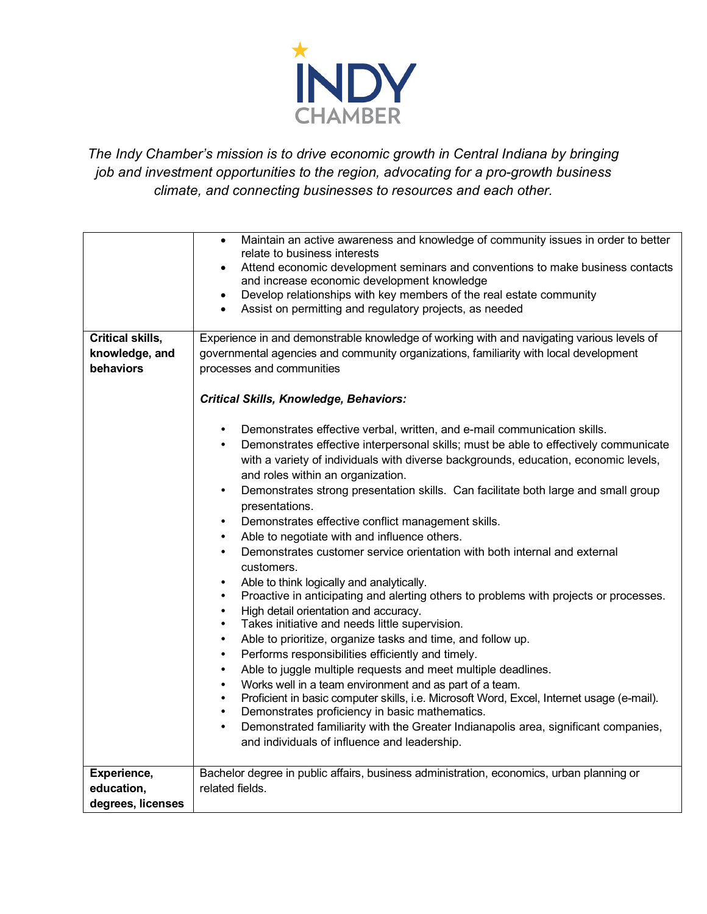

*The Indy Chamber's mission is to drive economic growth in Central Indiana by bringing job and investment opportunities to the region, advocating for a pro-growth business climate, and connecting businesses to resources and each other.*

|                   | Maintain an active awareness and knowledge of community issues in order to better<br>$\bullet$<br>relate to business interests             |  |
|-------------------|--------------------------------------------------------------------------------------------------------------------------------------------|--|
|                   | Attend economic development seminars and conventions to make business contacts<br>$\bullet$<br>and increase economic development knowledge |  |
|                   | Develop relationships with key members of the real estate community<br>$\bullet$                                                           |  |
|                   | Assist on permitting and regulatory projects, as needed<br>$\bullet$                                                                       |  |
|                   |                                                                                                                                            |  |
| Critical skills,  | Experience in and demonstrable knowledge of working with and navigating various levels of                                                  |  |
| knowledge, and    | governmental agencies and community organizations, familiarity with local development                                                      |  |
| behaviors         | processes and communities                                                                                                                  |  |
|                   |                                                                                                                                            |  |
|                   | <b>Critical Skills, Knowledge, Behaviors:</b>                                                                                              |  |
|                   | Demonstrates effective verbal, written, and e-mail communication skills.<br>$\bullet$                                                      |  |
|                   | Demonstrates effective interpersonal skills; must be able to effectively communicate<br>٠                                                  |  |
|                   | with a variety of individuals with diverse backgrounds, education, economic levels,                                                        |  |
|                   | and roles within an organization.                                                                                                          |  |
|                   | $\bullet$                                                                                                                                  |  |
|                   | Demonstrates strong presentation skills. Can facilitate both large and small group                                                         |  |
|                   | presentations.                                                                                                                             |  |
|                   | Demonstrates effective conflict management skills.<br>$\bullet$                                                                            |  |
|                   | Able to negotiate with and influence others.<br>$\bullet$                                                                                  |  |
|                   | Demonstrates customer service orientation with both internal and external<br>$\bullet$                                                     |  |
|                   | customers.                                                                                                                                 |  |
|                   | Able to think logically and analytically.<br>$\bullet$                                                                                     |  |
|                   | Proactive in anticipating and alerting others to problems with projects or processes.<br>$\bullet$                                         |  |
|                   | High detail orientation and accuracy.                                                                                                      |  |
|                   | Takes initiative and needs little supervision.<br>$\bullet$                                                                                |  |
|                   | Able to prioritize, organize tasks and time, and follow up.<br>$\bullet$                                                                   |  |
|                   | Performs responsibilities efficiently and timely.                                                                                          |  |
|                   | Able to juggle multiple requests and meet multiple deadlines.<br>$\bullet$                                                                 |  |
|                   | Works well in a team environment and as part of a team.                                                                                    |  |
|                   | Proficient in basic computer skills, i.e. Microsoft Word, Excel, Internet usage (e-mail).<br>$\bullet$                                     |  |
|                   | Demonstrates proficiency in basic mathematics.<br>$\bullet$                                                                                |  |
|                   | Demonstrated familiarity with the Greater Indianapolis area, significant companies,<br>$\bullet$                                           |  |
|                   | and individuals of influence and leadership.                                                                                               |  |
|                   |                                                                                                                                            |  |
| Experience,       | Bachelor degree in public affairs, business administration, economics, urban planning or                                                   |  |
| education,        | related fields.                                                                                                                            |  |
| degrees, licenses |                                                                                                                                            |  |